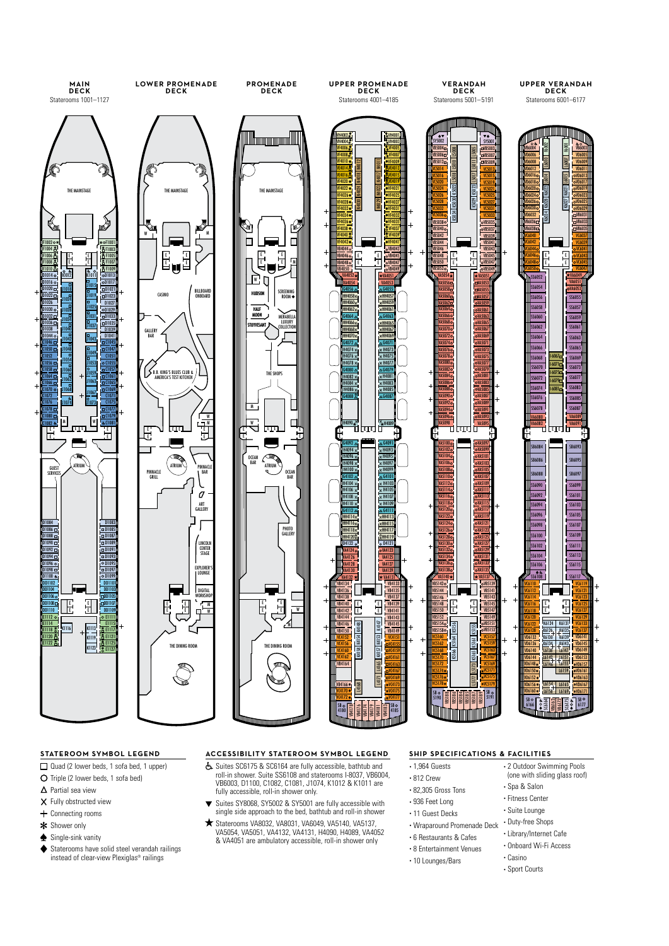

- Quad (2 lower beds, 1 sofa bed, 1 upper)
- O Triple (2 lower beds, 1 sofa bed)
- $\Delta$  Partial sea view
- X Fully obstructed view
- + Connecting rooms
- \* Shower only
- Single-sink vanity
- Staterooms have solid steel verandah railings instead of clear-view Plexiglas® railings

# **STATEROOM SYMBOL LEGEND ACCESSIBILITY STATEROOM SYMBOL LEGEND SHIP SPECIFICATIONS & FACILITIES**

- Suites SC6175 & SC6164 are fully accessible, bathtub and roll-in shower. Suite SS6108 and staterooms I-8037, VB6004, VB6003, D1100, C1082, C1081, J1074, K1012 & K1011 are fully accessible, roll-in shower only.
- Suites SY8068, SY5002 & SY5001 are fully accessible with single side approach to the bed, bathtub and roll-in shower
- Staterooms VA8032, VA8031, VA6049, VA5140, VA5137, VA5054, VA5051, VA4132, VA4131, H4090, H4089, VA4052 & VA4051 are ambulatory accessible, roll-in shower only

#### • 1,964 Guests • 2 Outdoor Swimming Pools

- 812 Crew
- 82,305 Gross Tons
- 936 Feet Long
- 11 Guest Decks
- Wraparound Promenade Deck
- 6 Restaurants & Cafes
- 8 Entertainment Venues • 10 Lounges/Bars
	- Casino
		- Sport Courts

• Spa & Salon • Fitness Center • Suite Lounge • Duty-free Shops • Library/Internet Cafe • Onboard Wi-Fi Access

(one with sliding glass roof)